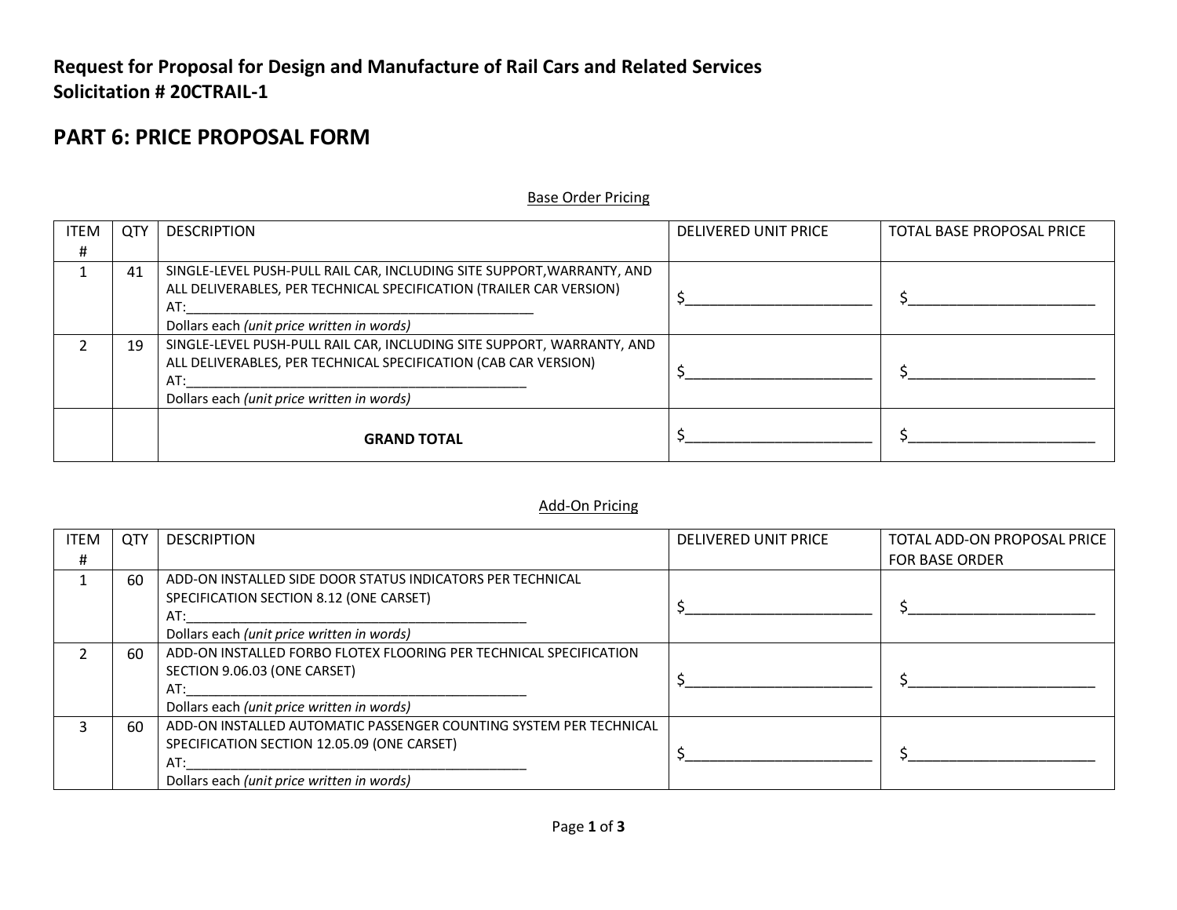## **Request for Proposal for Design and Manufacture of Rail Cars and Related Services Solicitation # 20CTRAIL-1**

## **PART 6: PRICE PROPOSAL FORM**

## Base Order Pricing

| <b>ITEM</b> | <b>QTY</b> | <b>DESCRIPTION</b>                                                     | <b>DELIVERED UNIT PRICE</b> | <b>TOTAL BASE PROPOSAL PRICE</b> |
|-------------|------------|------------------------------------------------------------------------|-----------------------------|----------------------------------|
| #           |            |                                                                        |                             |                                  |
|             | 41         | SINGLE-LEVEL PUSH-PULL RAIL CAR, INCLUDING SITE SUPPORT, WARRANTY, AND |                             |                                  |
|             |            | ALL DELIVERABLES, PER TECHNICAL SPECIFICATION (TRAILER CAR VERSION)    |                             |                                  |
|             |            | AT:                                                                    |                             |                                  |
|             |            | Dollars each (unit price written in words)                             |                             |                                  |
|             | 19         | SINGLE-LEVEL PUSH-PULL RAIL CAR, INCLUDING SITE SUPPORT, WARRANTY, AND |                             |                                  |
|             |            | ALL DELIVERABLES, PER TECHNICAL SPECIFICATION (CAB CAR VERSION)        |                             |                                  |
|             |            | AT:                                                                    |                             |                                  |
|             |            | Dollars each (unit price written in words)                             |                             |                                  |
|             |            |                                                                        |                             |                                  |
|             |            | <b>GRAND TOTAL</b>                                                     |                             |                                  |
|             |            |                                                                        |                             |                                  |

## Add-On Pricing

| <b>ITEM</b> | QTY | <b>DESCRIPTION</b>                                                                                                                                                     | <b>DELIVERED UNIT PRICE</b> | TOTAL ADD-ON PROPOSAL PRICE |
|-------------|-----|------------------------------------------------------------------------------------------------------------------------------------------------------------------------|-----------------------------|-----------------------------|
| #           |     |                                                                                                                                                                        |                             | <b>FOR BASE ORDER</b>       |
|             | 60  | ADD-ON INSTALLED SIDE DOOR STATUS INDICATORS PER TECHNICAL<br>SPECIFICATION SECTION 8.12 (ONE CARSET)<br>AT:<br>Dollars each (unit price written in words)             |                             |                             |
|             | 60  | ADD-ON INSTALLED FORBO FLOTEX FLOORING PER TECHNICAL SPECIFICATION<br>SECTION 9.06.03 (ONE CARSET)<br>AT:<br>Dollars each (unit price written in words)                |                             |                             |
|             | -60 | ADD-ON INSTALLED AUTOMATIC PASSENGER COUNTING SYSTEM PER TECHNICAL<br>SPECIFICATION SECTION 12.05.09 (ONE CARSET)<br>AT:<br>Dollars each (unit price written in words) |                             |                             |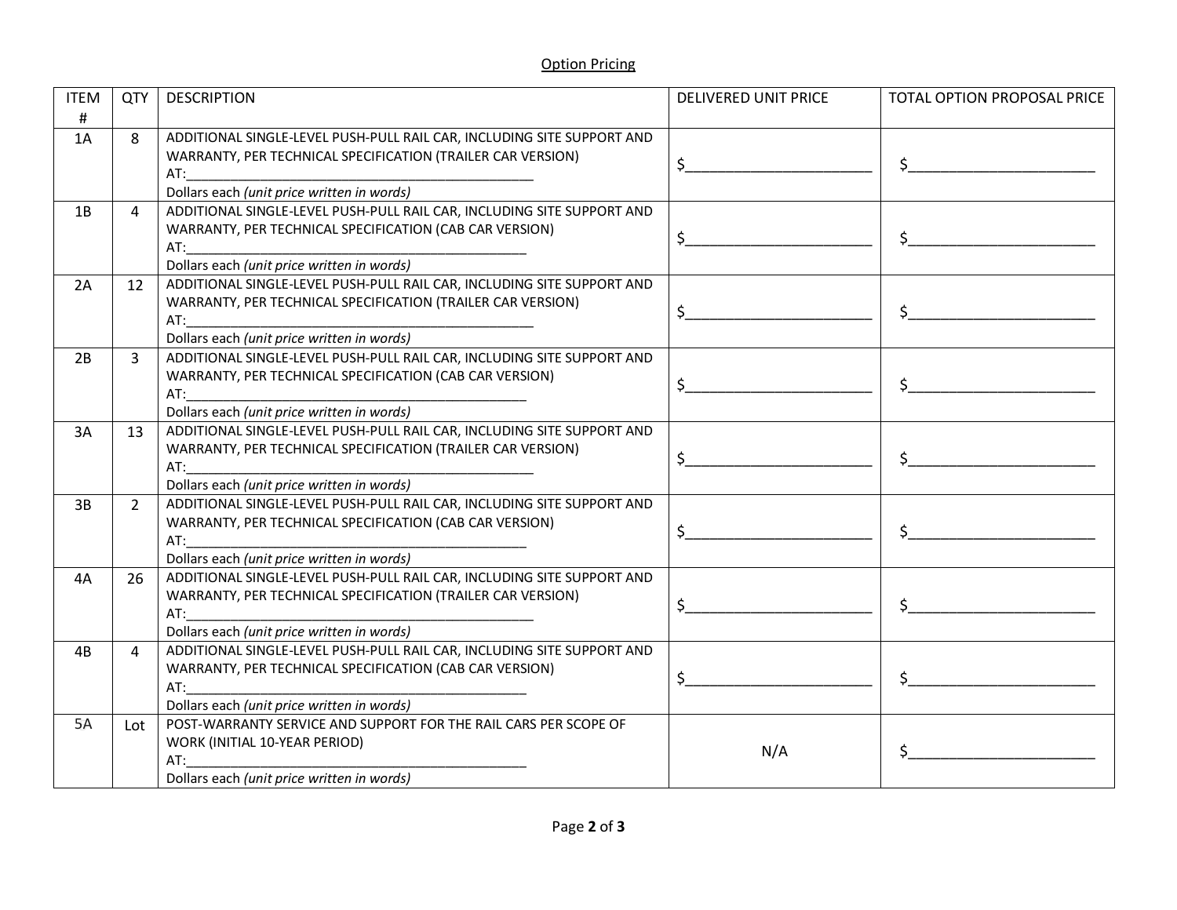| <b>ITEM</b><br># | QTY            | <b>DESCRIPTION</b>                                                                                                                                                                                                                                                                                                                                                                                                | <b>DELIVERED UNIT PRICE</b> | TOTAL OPTION PROPOSAL PRICE |
|------------------|----------------|-------------------------------------------------------------------------------------------------------------------------------------------------------------------------------------------------------------------------------------------------------------------------------------------------------------------------------------------------------------------------------------------------------------------|-----------------------------|-----------------------------|
| 1A               | 8              | ADDITIONAL SINGLE-LEVEL PUSH-PULL RAIL CAR, INCLUDING SITE SUPPORT AND<br>WARRANTY, PER TECHNICAL SPECIFICATION (TRAILER CAR VERSION)<br>AT:<br>Dollars each (unit price written in words)                                                                                                                                                                                                                        | \$                          |                             |
| 1B               | 4              | ADDITIONAL SINGLE-LEVEL PUSH-PULL RAIL CAR, INCLUDING SITE SUPPORT AND<br>WARRANTY, PER TECHNICAL SPECIFICATION (CAB CAR VERSION)<br>AT:<br>Dollars each (unit price written in words)                                                                                                                                                                                                                            | \$                          |                             |
| 2A               | 12             | ADDITIONAL SINGLE-LEVEL PUSH-PULL RAIL CAR, INCLUDING SITE SUPPORT AND<br>WARRANTY, PER TECHNICAL SPECIFICATION (TRAILER CAR VERSION)<br>AT:<br>Dollars each (unit price written in words)                                                                                                                                                                                                                        | $\sharp$                    |                             |
| 2B               | $\overline{3}$ | ADDITIONAL SINGLE-LEVEL PUSH-PULL RAIL CAR, INCLUDING SITE SUPPORT AND<br>WARRANTY, PER TECHNICAL SPECIFICATION (CAB CAR VERSION)<br>AT: the contract of the contract of the contract of the contract of the contract of the contract of the contract of the contract of the contract of the contract of the contract of the contract of the contract of the contra<br>Dollars each (unit price written in words) | $\ddot{\mathsf{S}}$         |                             |
| 3A               | 13             | ADDITIONAL SINGLE-LEVEL PUSH-PULL RAIL CAR, INCLUDING SITE SUPPORT AND<br>WARRANTY, PER TECHNICAL SPECIFICATION (TRAILER CAR VERSION)<br>Dollars each (unit price written in words)                                                                                                                                                                                                                               | $\sharp$                    |                             |
| 3B               | $2^{\circ}$    | ADDITIONAL SINGLE-LEVEL PUSH-PULL RAIL CAR, INCLUDING SITE SUPPORT AND<br>WARRANTY, PER TECHNICAL SPECIFICATION (CAB CAR VERSION)<br>Dollars each (unit price written in words)                                                                                                                                                                                                                                   | $\sharp$                    |                             |
| 4A               | 26             | ADDITIONAL SINGLE-LEVEL PUSH-PULL RAIL CAR, INCLUDING SITE SUPPORT AND<br>WARRANTY, PER TECHNICAL SPECIFICATION (TRAILER CAR VERSION)<br>AT:<br>Dollars each (unit price written in words)                                                                                                                                                                                                                        | $\ddot{\mathsf{S}}$         | $\sharp$                    |
| 4B               | 4              | ADDITIONAL SINGLE-LEVEL PUSH-PULL RAIL CAR, INCLUDING SITE SUPPORT AND<br>WARRANTY, PER TECHNICAL SPECIFICATION (CAB CAR VERSION)<br>AT:<br>Dollars each (unit price written in words)                                                                                                                                                                                                                            | $\sharp$                    |                             |
| 5A               | Lot            | POST-WARRANTY SERVICE AND SUPPORT FOR THE RAIL CARS PER SCOPE OF<br>WORK (INITIAL 10-YEAR PERIOD)<br>AT:<br>Dollars each (unit price written in words)                                                                                                                                                                                                                                                            | N/A                         |                             |